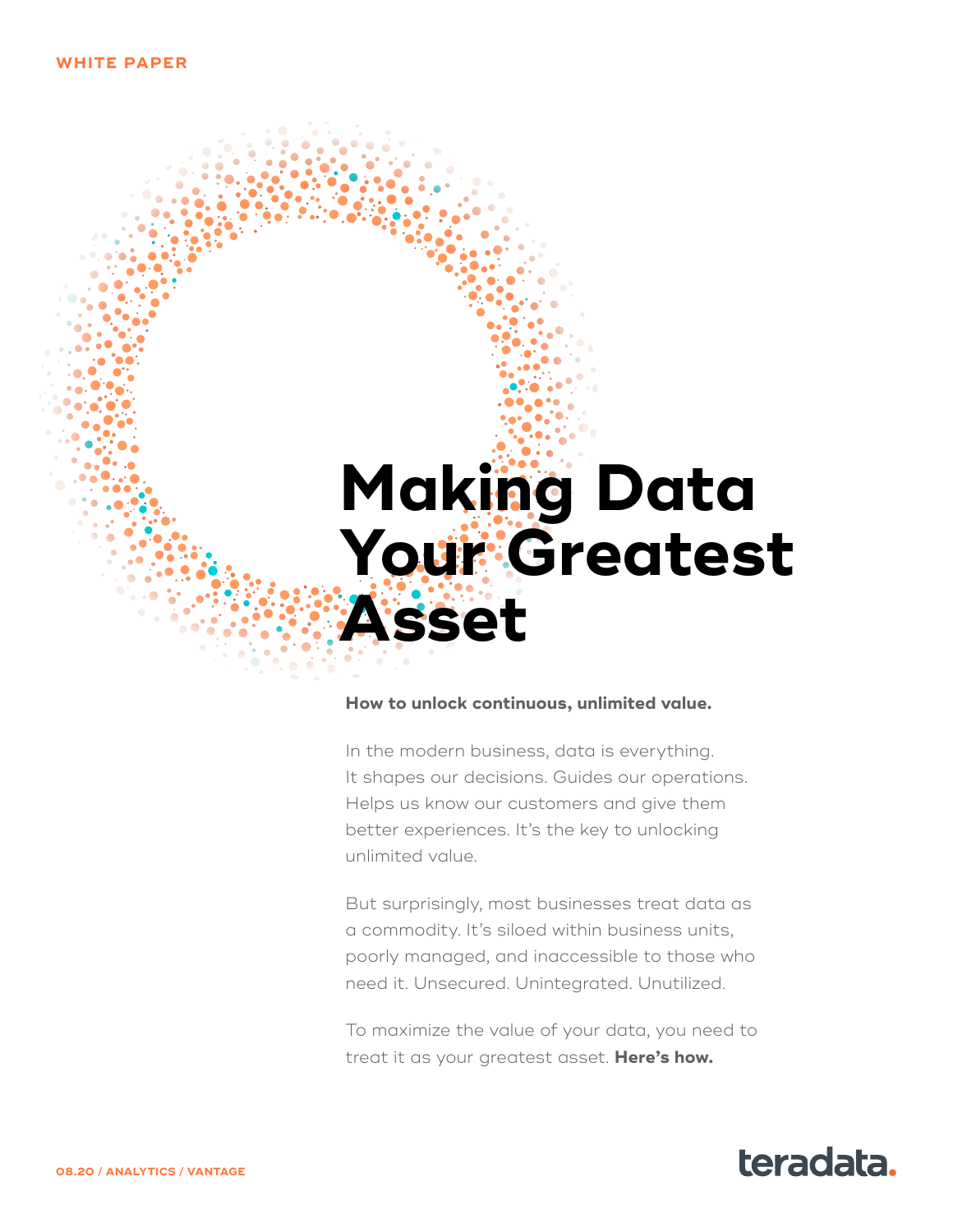## **Making Data Your Greatest Asset**

#### **How to unlock continuous, unlimited value.**

In the modern business, data is everything. It shapes our decisions. Guides our operations. Helps us know our customers and give them better experiences. It's the key to unlocking unlimited value.

But surprisingly, most businesses treat data as a commodity. It's siloed within business units, poorly managed, and inaccessible to those who need it. Unsecured. Unintegrated. Unutilized.

To maximize the value of your data, you need to treat it as your greatest asset. **Here's how.**

#### **08.20 / ANALYTICS / VANTAGE**

## teradata.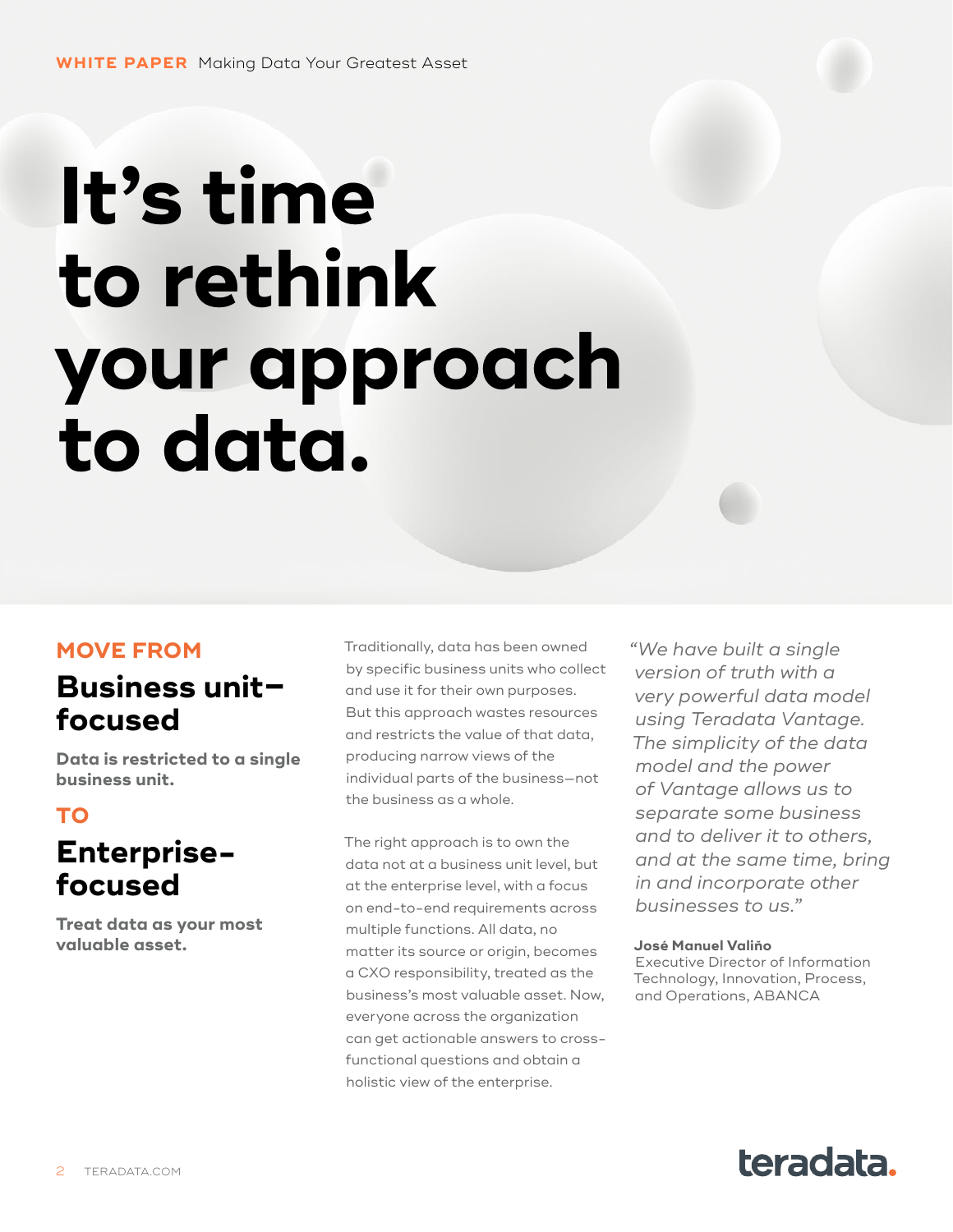# **It's time to rethink your approach to data.**

#### **MOVE FROM**

## **Business unit– focused**

**Data is restricted to a single business unit.** 

#### **TO Enterprisefocused**

**Treat data as your most valuable asset.**

Traditionally, data has been owned by specific business units who collect and use it for their own purposes. But this approach wastes resources and restricts the value of that data, producing narrow views of the individual parts of the business—not the business as a whole.

The right approach is to own the data not at a business unit level, but at the enterprise level, with a focus on end-to-end requirements across multiple functions. All data, no matter its source or origin, becomes a CXO responsibility, treated as the business's most valuable asset. Now, everyone across the organization can get actionable answers to crossfunctional questions and obtain a holistic view of the enterprise.

*"We have built a single version of truth with a very powerful data model using Teradata Vantage. The simplicity of the data model and the power of Vantage allows us to separate some business and to deliver it to others, and at the same time, bring in and incorporate other businesses to us."* 

#### **José Manuel Valiňo**

Executive Director of Information Technology, Innovation, Process, and Operations, ABANCA

## teradata.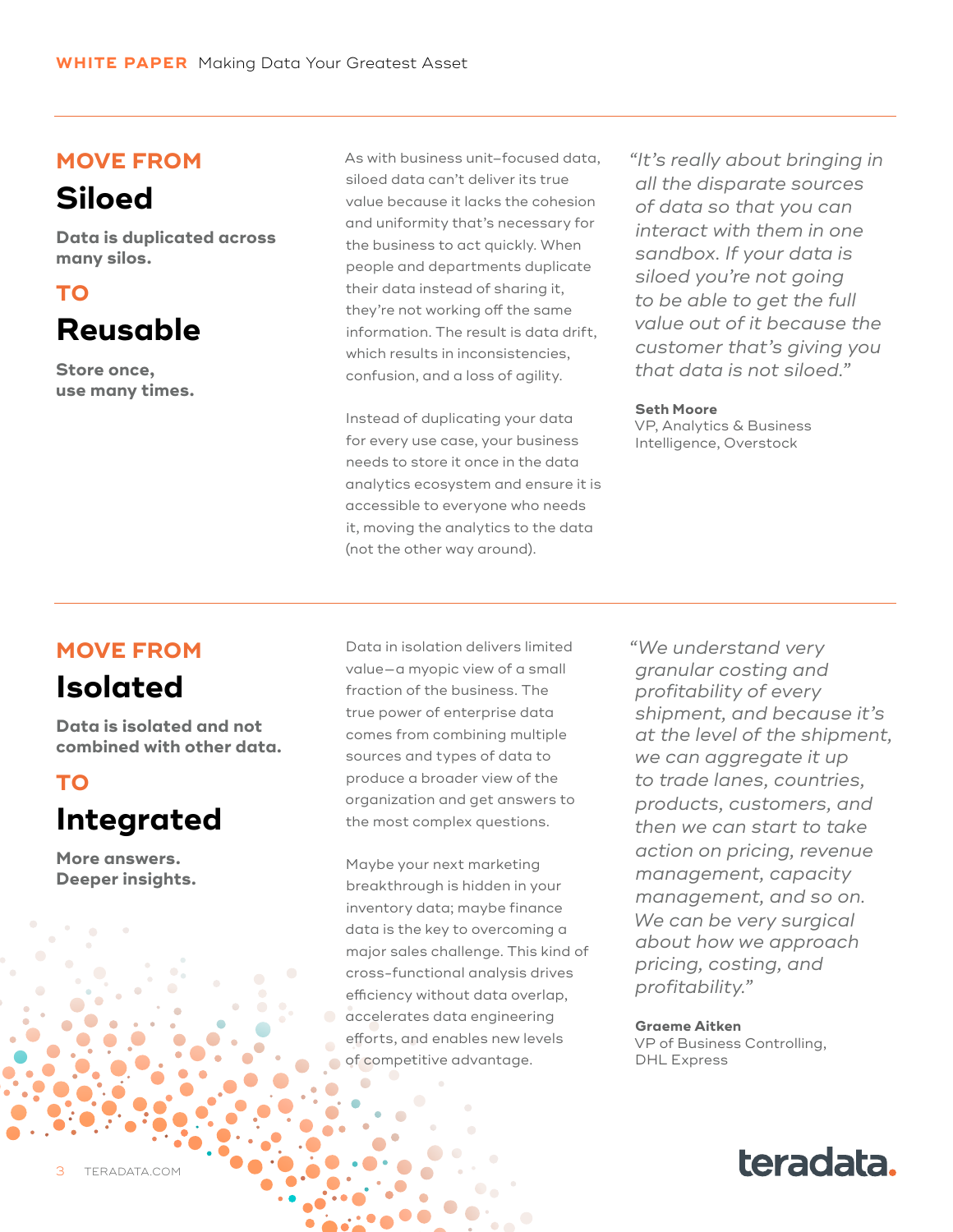#### **MOVE FROM**

## **Siloed**

**Data is duplicated across many silos.**

## **TO**

## **Reusable**

**Store once, use many times.** As with business unit–focused data, siloed data can't deliver its true value because it lacks the cohesion and uniformity that's necessary for the business to act quickly. When people and departments duplicate their data instead of sharing it, they're not working off the same information. The result is data drift, which results in inconsistencies, confusion, and a loss of agility.

Instead of duplicating your data for every use case, your business needs to store it once in the data analytics ecosystem and ensure it is accessible to everyone who needs it, moving the analytics to the data (not the other way around).

*"It's really about bringing in all the disparate sources of data so that you can interact with them in one sandbox. If your data is siloed you're not going to be able to get the full value out of it because the customer that's giving you that data is not siloed."* 

#### **Seth Moore**

VP, Analytics & Business Intelligence, Overstock

#### **MOVE FROM**

## **Isolated**

**Data is isolated and not combined with other data.**

#### **TO Integrated**

**More answers. Deeper insights.** Data in isolation delivers limited value—a myopic view of a small fraction of the business. The true power of enterprise data comes from combining multiple sources and types of data to produce a broader view of the organization and get answers to the most complex questions.

Maybe your next marketing breakthrough is hidden in your inventory data; maybe finance data is the key to overcoming a major sales challenge. This kind of cross-functional analysis drives efficiency without data overlap, accelerates data engineering efforts, and enables new levels of competitive advantage.

*"We understand very granular costing and profitability of every shipment, and because it's at the level of the shipment, we can aggregate it up to trade lanes, countries, products, customers, and then we can start to take action on pricing, revenue management, capacity management, and so on. We can be very surgical about how we approach pricing, costing, and profitability."* 

**Graeme Aitken** VP of Business Controlling, DHL Express

teradata.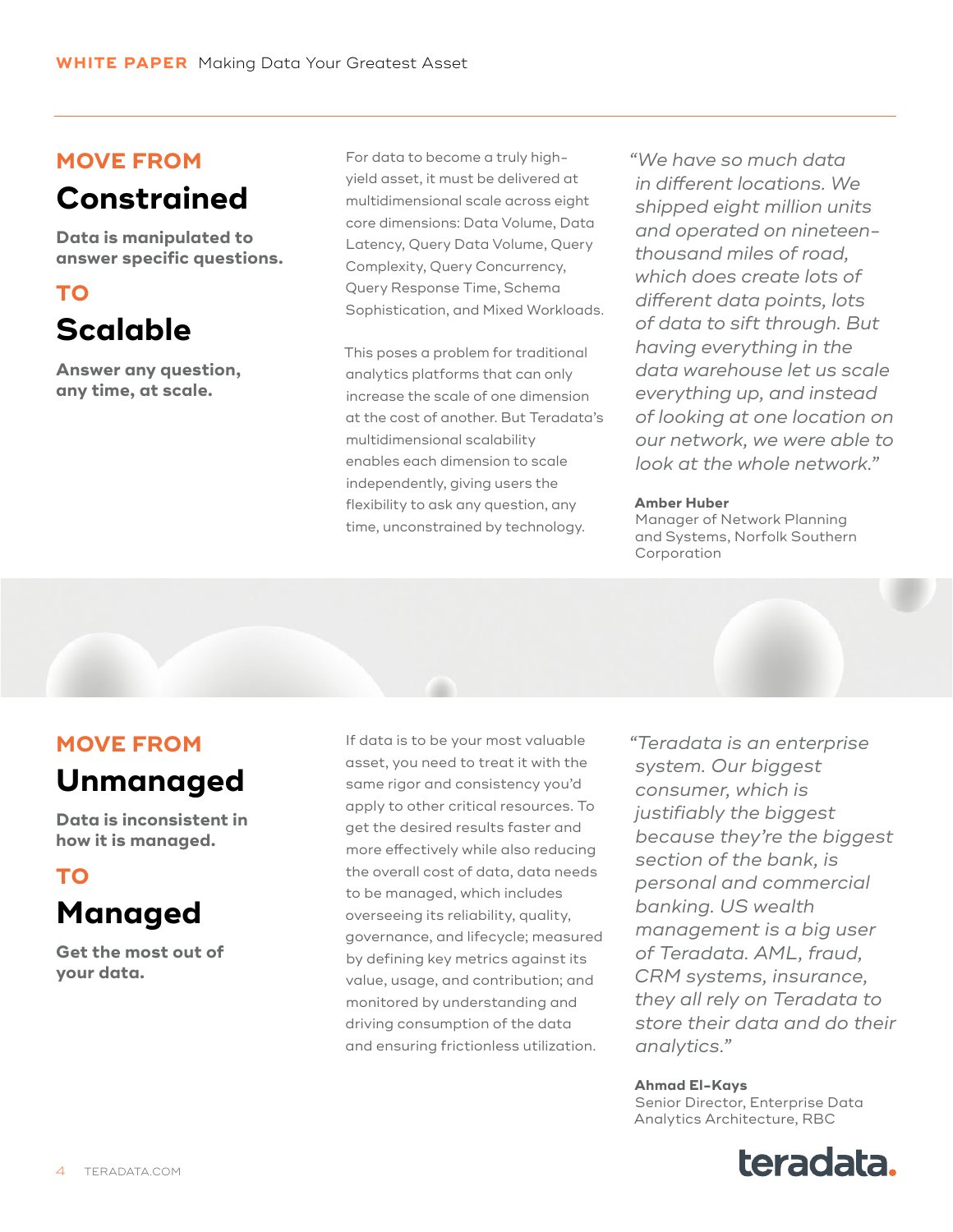#### **MOVE FROM**

## **Constrained**

**Data is manipulated to answer specific questions.**

#### **TO Scalable**

**Answer any question, any time, at scale.**

For data to become a truly highyield asset, it must be delivered at multidimensional scale across eight core dimensions: Data Volume, Data Latency, Query Data Volume, Query Complexity, Query Concurrency, Query Response Time, Schema Sophistication, and Mixed Workloads.

This poses a problem for traditional analytics platforms that can only increase the scale of one dimension at the cost of another. But Teradata's multidimensional scalability enables each dimension to scale independently, giving users the flexibility to ask any question, any time, unconstrained by technology.

*"We have so much data in different locations. We shipped eight million units and operated on nineteenthousand miles of road, which does create lots of different data points, lots of data to sift through. But having everything in the data warehouse let us scale everything up, and instead of looking at one location on our network, we were able to look at the whole network."*

#### **Amber Huber**

Manager of Network Planning and Systems, Norfolk Southern Corporation

#### **MOVE FROM**

#### **Unmanaged**

**Data is inconsistent in how it is managed.**

#### **TO Managed**

**Get the most out of your data.**

If data is to be your most valuable asset, you need to treat it with the same rigor and consistency you'd apply to other critical resources. To get the desired results faster and more effectively while also reducing the overall cost of data, data needs to be managed, which includes overseeing its reliability, quality, governance, and lifecycle; measured by defining key metrics against its value, usage, and contribution; and monitored by understanding and driving consumption of the data and ensuring frictionless utilization.

*"Teradata is an enterprise system. Our biggest consumer, which is justifiably the biggest because they're the biggest section of the bank, is personal and commercial banking. US wealth management is a big user of Teradata. AML, fraud, CRM systems, insurance, they all rely on Teradata to store their data and do their analytics."*

#### **Ahmad El-Kays**

Senior Director, Enterprise Data Analytics Architecture, RBC

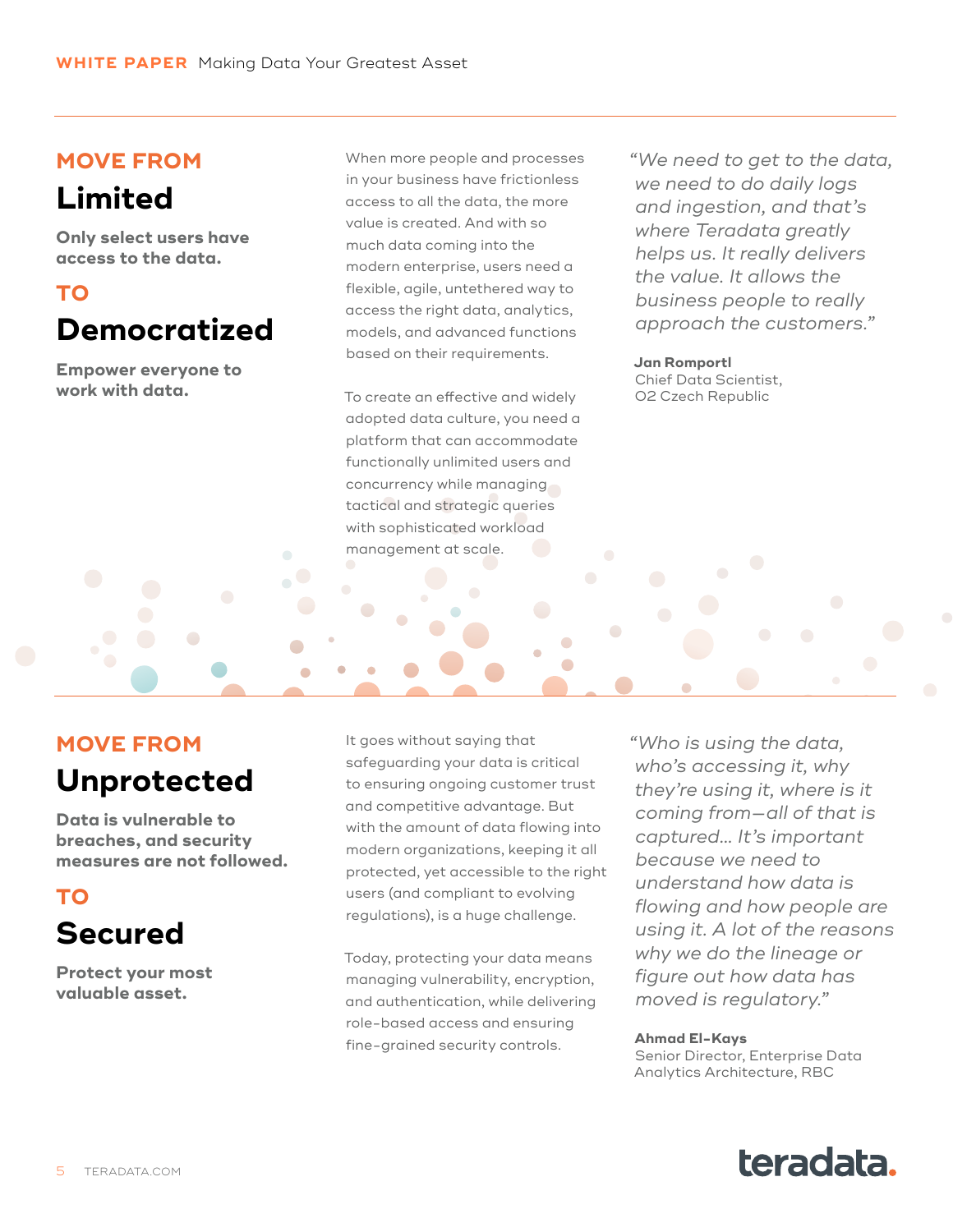#### **MOVE FROM**

## **Limited**

**Only select users have access to the data.**

#### **TO Democratized**

**Empower everyone to work with data.**

When more people and processes in your business have frictionless access to all the data, the more value is created. And with so much data coming into the modern enterprise, users need a flexible, agile, untethered way to access the right data, analytics, models, and advanced functions based on their requirements.

To create an effective and widely adopted data culture, you need a platform that can accommodate functionally unlimited users and concurrency while managing tactical and strategic queries with sophisticated workload management at scale.

*"We need to get to the data, we need to do daily logs and ingestion, and that's where Teradata greatly helps us. It really delivers the value. It allows the business people to really approach the customers."*

**Jan Romportl** Chief Data Scientist, O2 Czech Republic

 $\bullet$ 

Ċ

#### **MOVE FROM**

#### **Unprotected**

**Data is vulnerable to breaches, and security measures are not followed.**

## **TO**

## **Secured**

**Protect your most valuable asset.**

It goes without saying that safeguarding your data is critical to ensuring ongoing customer trust and competitive advantage. But with the amount of data flowing into modern organizations, keeping it all protected, yet accessible to the right users (and compliant to evolving regulations), is a huge challenge.

Today, protecting your data means managing vulnerability, encryption, and authentication, while delivering role-based access and ensuring fine-grained security controls.

*"Who is using the data, who's accessing it, why they're using it, where is it coming from—all of that is captured… It's important because we need to understand how data is flowing and how people are using it. A lot of the reasons why we do the lineage or figure out how data has moved is regulatory."*

#### **Ahmad El-Kays**

Senior Director, Enterprise Data Analytics Architecture, RBC